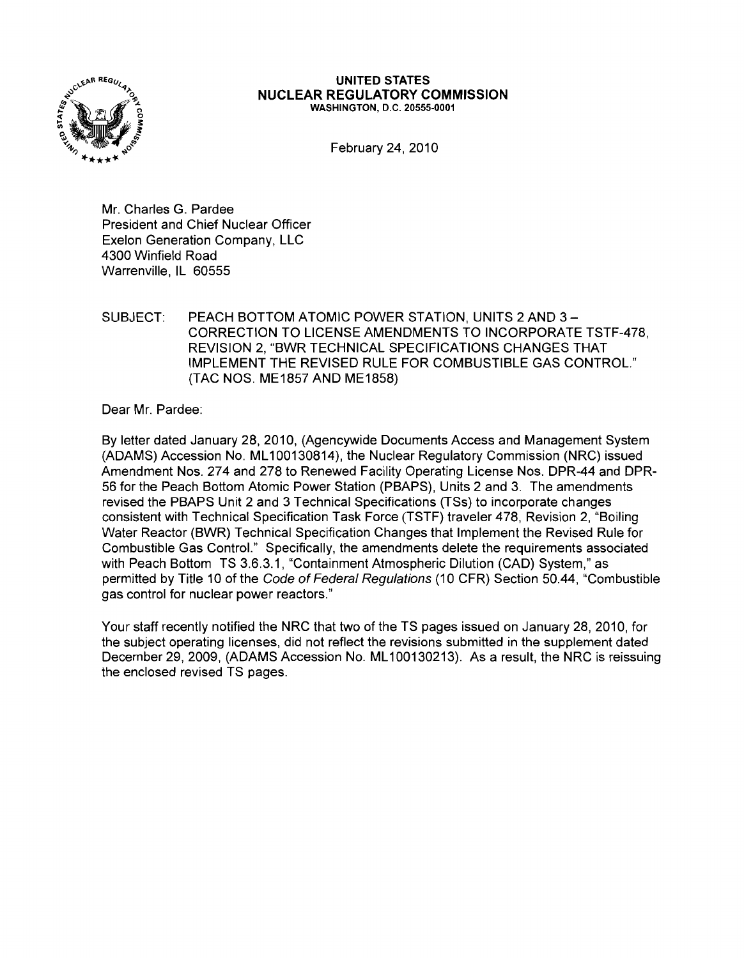

### **UNITED STATES NUCLEAR REGULATORY COMMISSION** WASHINGTON, D.C. 20555-0001

February 24, 2010

Mr. Charles G. Pardee President and Chief Nuclear Officer Exelon Generation Company, LLC 4300 Winfield Road Warrenville, IL 60555

### SUBJECT: PEACH BOTTOM ATOMIC POWER STATION, UNITS 2 AND 3-CORRECTION TO LICENSE AMENDMENTS TO INCORPORATE TSTF-478, REVISION 2, "BWR TECHNICAL SPECIFICATIONS CHANGES THAT IMPLEMENT THE REVISED RULE FOR COMBUSTIBLE GAS CONTROL." (TAC NOS. ME1857 AND ME1858)

Dear Mr. Pardee:

By letter dated January 28, 2010, (Agencywide Documents Access and Management System (ADAMS) Accession No. ML100130814), the Nuclear Regulatory Commission (NRC) issued Amendment Nos. 274 and 278 to Renewed Facility Operating License Nos. DPR-44 and DPR-56 for the Peach Bottom Atomic Power Station (PBAPS), Units 2 and 3. The amendments revised the PBAPS Unit 2 and 3 Technical Specifications (TSs) to incorporate changes consistent with Technical Specification Task Force (TSTF) traveler 478, Revision 2, "Boiling Water Reactor (BWR) Technical Specification Changes that Implement the Revised Rule for Combustible Gas Control." Specifically, the amendments delete the requirements associated with Peach Bottom TS 3.6.3.1, "Containment Atmospheric Dilution (CAD) System," as permitted by Title 10 of the Code of Federal Regulations (10 CFR) Section 50.44, "Combustible gas control for nuclear power reactors."

Your staff recently notified the NRC that two of the TS pages issued on January 28, 2010, for the subject operating licenses, did not reflect the revisions submitted in the supplement dated December 29, 2009, (ADAMS Accession No. ML100130213). As a result, the NRC is reissuing the enclosed revised TS pages.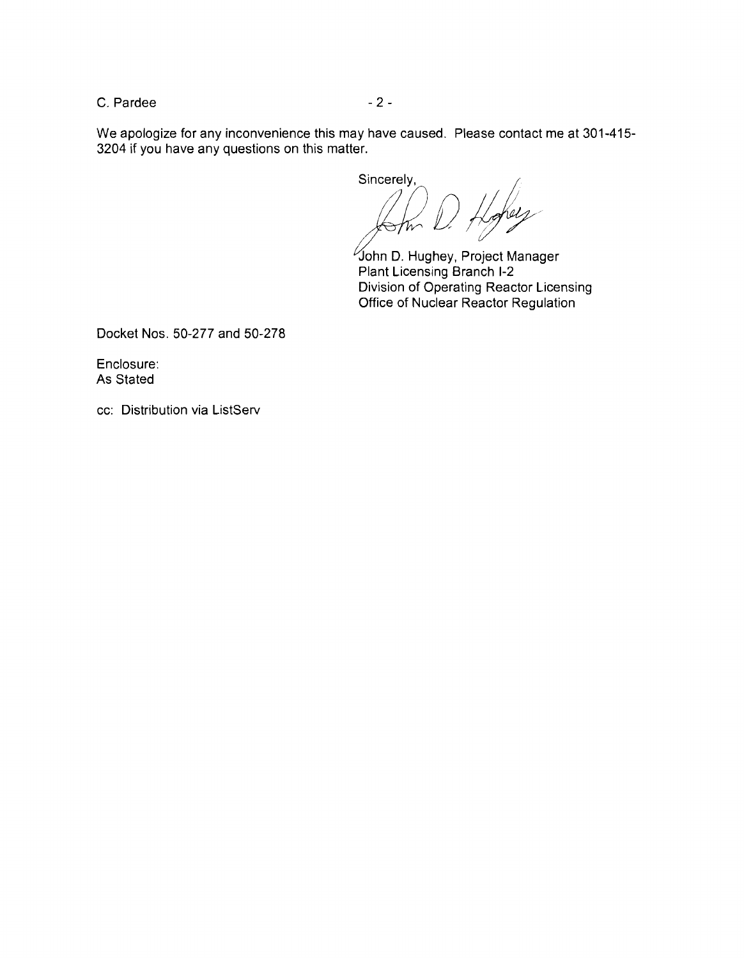$C.$  Pardee  $-2-$ 

We apologize for any inconvenience this may have caused. Please contact me at 301-415 3204 if you have any questions on this matter.

Sincerely,<br> $\binom{n}{r}$   $\binom{n}{r}$ 

John D. Hughey, Project Manager Plant Licensing Branch 1-2 Division of Operating Reactor Licensing Office of Nuclear Reactor Regulation

Docket Nos. 50-277 and 50-278

Enclosure: As Stated

cc: Distribution via ListServ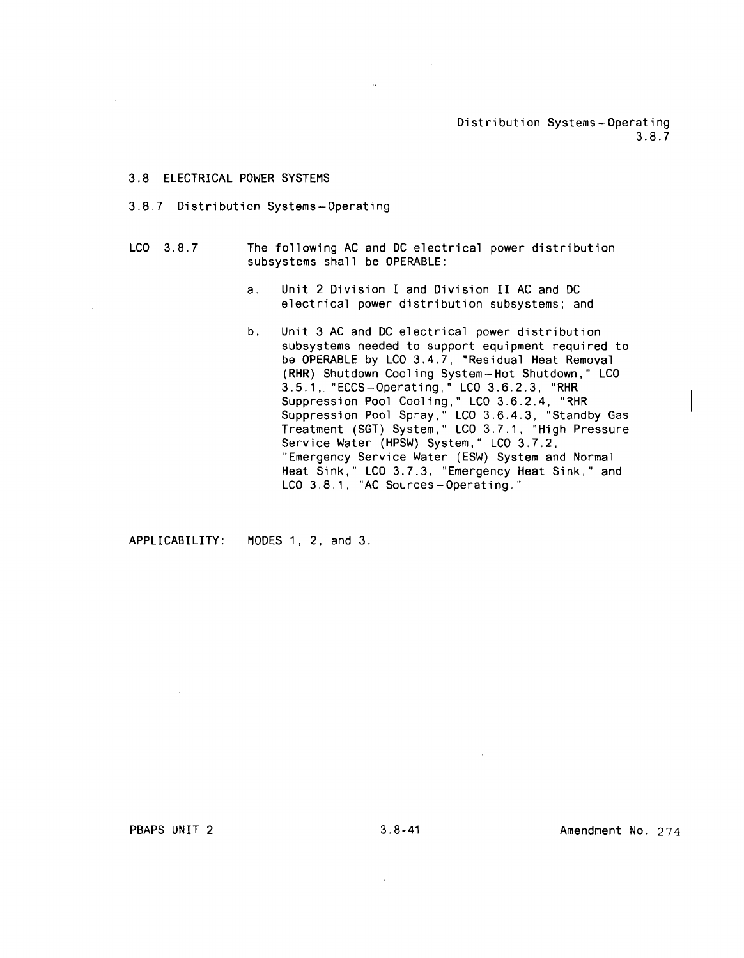Distribution Systems-Operating 3.8.7

#### 3.8 ELECTRICAL POWER SYSTEMS

#### 3.8.7 Distribution Systems-Operating

- LCO 3.8.7 The following AC and DC electrical power distribution subsystems shall be OPERABLE:
	- a. Unit 2 Division I and Division II AC and DC electrical power distribution subsystems; and
	- b. Unit 3 AC and DC electrical power distribution subsystems needed to support equipment required to be OPERABLE by LCD 3.4.7, "Residual Heat Removal (RHR) Shutdown Cooling System-Hot Shutdown," LCD 3.5.1, "ECCS-Operating," LCD 3.6.2.3, "RHR Suppression Pool Cooling," LCD 3.6.2.4, "RHR Suppression Pool Spray," LCD 3.6.4.3, "Standby Gas Treatment (SGT) System," LCD 3.7.1, "High Pressure Service Water (HPSW) System," LCO 3.7.2, "Emergency Service Water (ESW) System and Normal Heat Sink," LCD 3.7.3, "Emergency Heat Sink," and LCO 3.8.1, "AC Sources-Operating."

APPLICABILITY: MODES 1, 2, and 3.

PBAPS UNIT 2 3.8-41 Amendment No. 274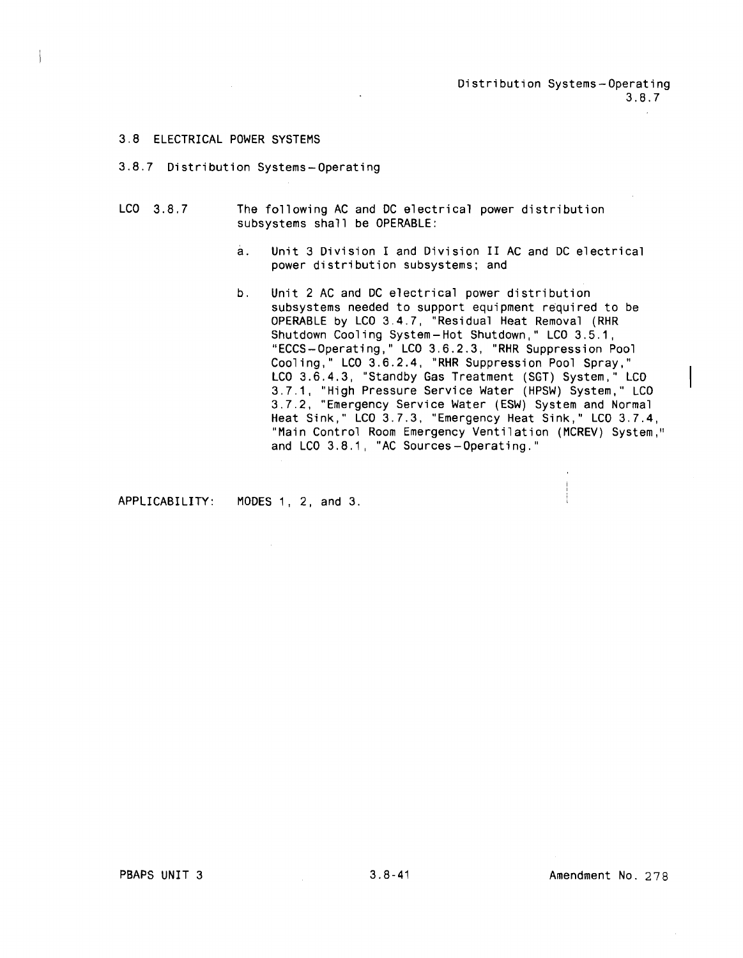Distribution Systems-Operating 3.8.7

#### 3.8 ELECTRICAL POWER SYSTEMS

- 3.8.7 Distribution Systems-Operating
- LCO 3.8.7 The following AC and DC electrical power distribution subsystems shall be OPERABLE:
	- a. Unit 3 Division I and Division II AC and DC electrical power distribution subsystems; and
	- b. Unit 2 AC and DC electrical power distribution subsystems needed to support equipment required to be OPERABLE by LCD 3.4.7, "Residual Heat Removal (RHR Shutdown Cooling System-Hot Shutdown," LCD 3.5.1, "ECCS-Operating," LCD 3.6.2.3, "RHR Suppression Pool Cooling," LCD 3.6.2.4, "RHR Suppression Pool Spray," LCO 3.6.4.3, "Standby Gas Treatment (SGT) System," LCO 3.7.1, "High Pressure Service Water (HPSW) System," LCD 3.7.2, "Emergency Service Water (ESW) System and Normal Heat Sink," LCD 3.7.3, "Emergency Heat Sink," LCD 3.7.4, "Main Control Room Emergency Ventilation (MCREV) System," and LCD 3.8.1, "AC Sources-Operating."

APPLICABILITY: MODES 1, 2, and 3.